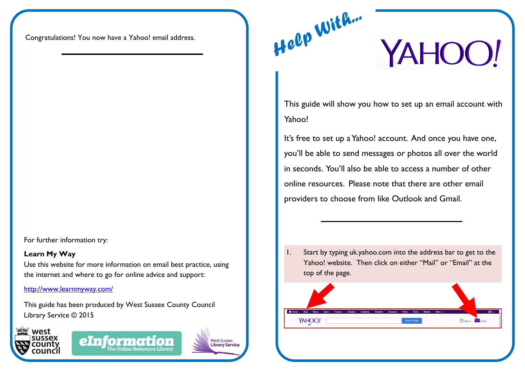Congratulations! You now have a Yahoo! email address.

For further information try:

## **Learn My Way**

Use this website for more information on email best practice, using the internet and where to go for online advice and support:

<http://www.learnmyway.com/>

This guide has been produced by West Sussex County Council Library Service © 2015





**West Sussex Library Service** 

YAHOO!

This guide will show you how to set up an email account with Yahoo!

It's free to set up a Yahoo! account. And once you have one, you'll be able to send messages or photos all over the world in seconds. You'll also be able to access a number of other online resources. Please note that there are other email providers to choose from like Outlook and Gmail.

1. Start by typing uk.yahoo.com into the address bar to get to the Yahoo! website. Then click on either "Mail" or "Email" at the top of the page.